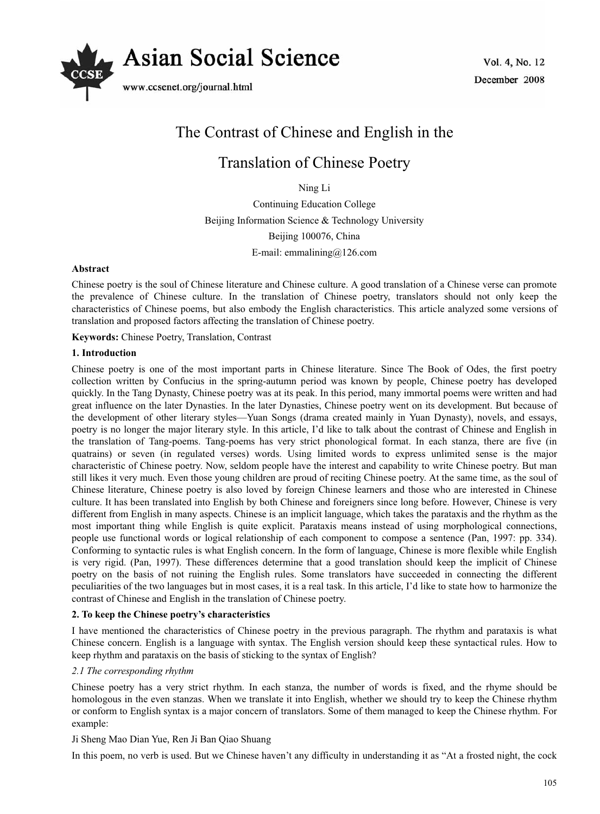

# The Contrast of Chinese and English in the

## Translation of Chinese Poetry

Ning Li

Continuing Education College Beijing Information Science & Technology University Beijing 100076, China E-mail: emmalining@126.com

## **Abstract**

Chinese poetry is the soul of Chinese literature and Chinese culture. A good translation of a Chinese verse can promote the prevalence of Chinese culture. In the translation of Chinese poetry, translators should not only keep the characteristics of Chinese poems, but also embody the English characteristics. This article analyzed some versions of translation and proposed factors affecting the translation of Chinese poetry.

**Keywords:** Chinese Poetry, Translation, Contrast

## **1. Introduction**

Chinese poetry is one of the most important parts in Chinese literature. Since The Book of Odes, the first poetry collection written by Confucius in the spring-autumn period was known by people, Chinese poetry has developed quickly. In the Tang Dynasty, Chinese poetry was at its peak. In this period, many immortal poems were written and had great influence on the later Dynasties. In the later Dynasties, Chinese poetry went on its development. But because of the development of other literary styles—Yuan Songs (drama created mainly in Yuan Dynasty), novels, and essays, poetry is no longer the major literary style. In this article, I'd like to talk about the contrast of Chinese and English in the translation of Tang-poems. Tang-poems has very strict phonological format. In each stanza, there are five (in quatrains) or seven (in regulated verses) words. Using limited words to express unlimited sense is the major characteristic of Chinese poetry. Now, seldom people have the interest and capability to write Chinese poetry. But man still likes it very much. Even those young children are proud of reciting Chinese poetry. At the same time, as the soul of Chinese literature, Chinese poetry is also loved by foreign Chinese learners and those who are interested in Chinese culture. It has been translated into English by both Chinese and foreigners since long before. However, Chinese is very different from English in many aspects. Chinese is an implicit language, which takes the parataxis and the rhythm as the most important thing while English is quite explicit. Parataxis means instead of using morphological connections, people use functional words or logical relationship of each component to compose a sentence (Pan, 1997: pp. 334). Conforming to syntactic rules is what English concern. In the form of language, Chinese is more flexible while English is very rigid. (Pan, 1997). These differences determine that a good translation should keep the implicit of Chinese poetry on the basis of not ruining the English rules. Some translators have succeeded in connecting the different peculiarities of the two languages but in most cases, it is a real task. In this article, I'd like to state how to harmonize the contrast of Chinese and English in the translation of Chinese poetry.

## **2. To keep the Chinese poetry's characteristics**

I have mentioned the characteristics of Chinese poetry in the previous paragraph. The rhythm and parataxis is what Chinese concern. English is a language with syntax. The English version should keep these syntactical rules. How to keep rhythm and parataxis on the basis of sticking to the syntax of English?

## *2.1 The corresponding rhythm*

Chinese poetry has a very strict rhythm. In each stanza, the number of words is fixed, and the rhyme should be homologous in the even stanzas. When we translate it into English, whether we should try to keep the Chinese rhythm or conform to English syntax is a major concern of translators. Some of them managed to keep the Chinese rhythm. For example:

## Ji Sheng Mao Dian Yue, Ren Ji Ban Qiao Shuang

In this poem, no verb is used. But we Chinese haven't any difficulty in understanding it as "At a frosted night, the cock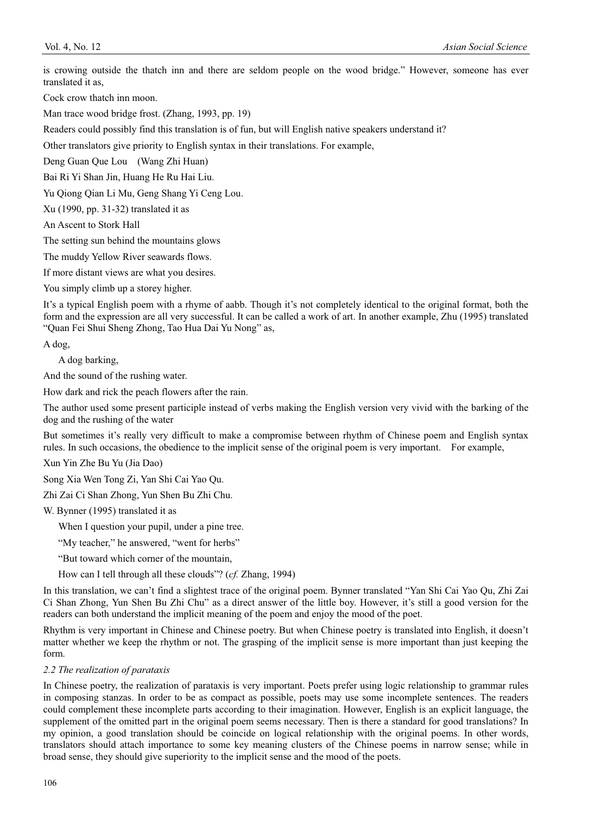is crowing outside the thatch inn and there are seldom people on the wood bridge." However, someone has ever translated it as,

Cock crow thatch inn moon.

Man trace wood bridge frost. (Zhang, 1993, pp. 19)

Readers could possibly find this translation is of fun, but will English native speakers understand it?

Other translators give priority to English syntax in their translations. For example,

Deng Guan Que Lou (Wang Zhi Huan)

Bai Ri Yi Shan Jin, Huang He Ru Hai Liu.

Yu Qiong Qian Li Mu, Geng Shang Yi Ceng Lou.

Xu (1990, pp. 31-32) translated it as

An Ascent to Stork Hall

The setting sun behind the mountains glows

The muddy Yellow River seawards flows.

If more distant views are what you desires.

You simply climb up a storey higher.

It's a typical English poem with a rhyme of aabb. Though it's not completely identical to the original format, both the form and the expression are all very successful. It can be called a work of art. In another example, Zhu (1995) translated "Quan Fei Shui Sheng Zhong, Tao Hua Dai Yu Nong" as,

A dog,

A dog barking,

And the sound of the rushing water.

How dark and rick the peach flowers after the rain.

The author used some present participle instead of verbs making the English version very vivid with the barking of the dog and the rushing of the water

But sometimes it's really very difficult to make a compromise between rhythm of Chinese poem and English syntax rules. In such occasions, the obedience to the implicit sense of the original poem is very important. For example,

Xun Yin Zhe Bu Yu (Jia Dao)

Song Xia Wen Tong Zi, Yan Shi Cai Yao Qu.

Zhi Zai Ci Shan Zhong, Yun Shen Bu Zhi Chu.

W. Bynner (1995) translated it as

When I question your pupil, under a pine tree.

"My teacher," he answered, "went for herbs"

"But toward which corner of the mountain,

How can I tell through all these clouds"? (*cf.* Zhang, 1994)

In this translation, we can't find a slightest trace of the original poem. Bynner translated "Yan Shi Cai Yao Qu, Zhi Zai Ci Shan Zhong, Yun Shen Bu Zhi Chu" as a direct answer of the little boy. However, it's still a good version for the readers can both understand the implicit meaning of the poem and enjoy the mood of the poet.

Rhythm is very important in Chinese and Chinese poetry. But when Chinese poetry is translated into English, it doesn't matter whether we keep the rhythm or not. The grasping of the implicit sense is more important than just keeping the form.

#### *2.2 The realization of parataxis*

In Chinese poetry, the realization of parataxis is very important. Poets prefer using logic relationship to grammar rules in composing stanzas. In order to be as compact as possible, poets may use some incomplete sentences. The readers could complement these incomplete parts according to their imagination. However, English is an explicit language, the supplement of the omitted part in the original poem seems necessary. Then is there a standard for good translations? In my opinion, a good translation should be coincide on logical relationship with the original poems. In other words, translators should attach importance to some key meaning clusters of the Chinese poems in narrow sense; while in broad sense, they should give superiority to the implicit sense and the mood of the poets.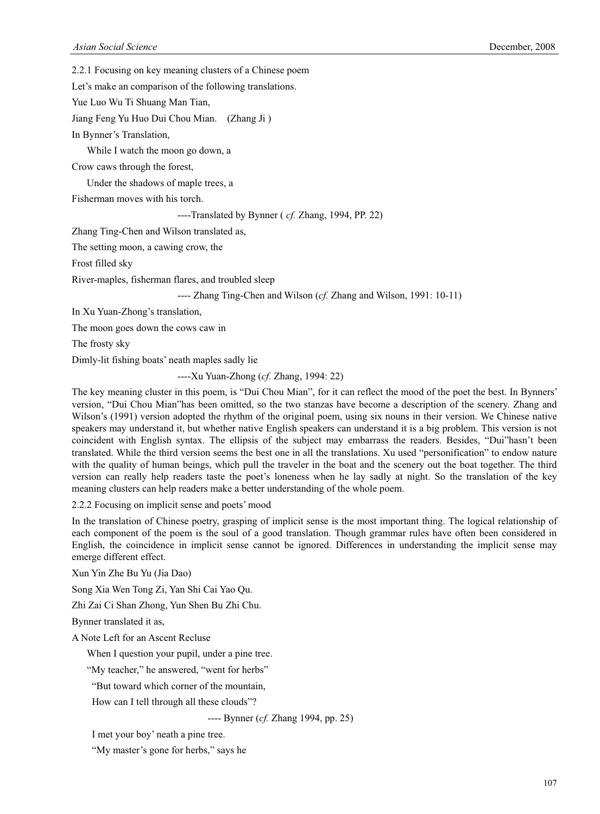2.2.1 Focusing on key meaning clusters of a Chinese poem

Let's make an comparison of the following translations.

Yue Luo Wu Ti Shuang Man Tian,

Jiang Feng Yu Huo Dui Chou Mian. (Zhang Ji )

In Bynner's Translation,

While I watch the moon go down, a

Crow caws through the forest,

Under the shadows of maple trees, a

Fisherman moves with his torch.

----Translated by Bynner ( *cf.* Zhang, 1994, PP. 22)

Zhang Ting-Chen and Wilson translated as,

The setting moon, a cawing crow, the

Frost filled sky

River-maples, fisherman flares, and troubled sleep

---- Zhang Ting-Chen and Wilson (*cf.* Zhang and Wilson, 1991: 10-11)

In Xu Yuan-Zhong's translation,

The moon goes down the cows caw in

The frosty sky

Dimly-lit fishing boats' neath maples sadly lie

----Xu Yuan-Zhong (*cf.* Zhang, 1994: 22)

The key meaning cluster in this poem, is "Dui Chou Mian", for it can reflect the mood of the poet the best. In Bynners' version, "Dui Chou Mian"has been omitted, so the two stanzas have become a description of the scenery. Zhang and Wilson's (1991) version adopted the rhythm of the original poem, using six nouns in their version. We Chinese native speakers may understand it, but whether native English speakers can understand it is a big problem. This version is not coincident with English syntax. The ellipsis of the subject may embarrass the readers. Besides, "Dui"hasn't been translated. While the third version seems the best one in all the translations. Xu used "personification" to endow nature with the quality of human beings, which pull the traveler in the boat and the scenery out the boat together. The third version can really help readers taste the poet's loneness when he lay sadly at night. So the translation of the key meaning clusters can help readers make a better understanding of the whole poem.

2.2.2 Focusing on implicit sense and poets' mood

In the translation of Chinese poetry, grasping of implicit sense is the most important thing. The logical relationship of each component of the poem is the soul of a good translation. Though grammar rules have often been considered in English, the coincidence in implicit sense cannot be ignored. Differences in understanding the implicit sense may emerge different effect.

Xun Yin Zhe Bu Yu (Jia Dao)

Song Xia Wen Tong Zi, Yan Shi Cai Yao Qu.

Zhi Zai Ci Shan Zhong, Yun Shen Bu Zhi Chu.

Bynner translated it as,

A Note Left for an Ascent Recluse

When I question your pupil, under a pine tree.

"My teacher," he answered, "went for herbs"

"But toward which corner of the mountain,

How can I tell through all these clouds"?

---- Bynner (*cf.* Zhang 1994, pp. 25)

I met your boy' neath a pine tree.

"My master's gone for herbs," says he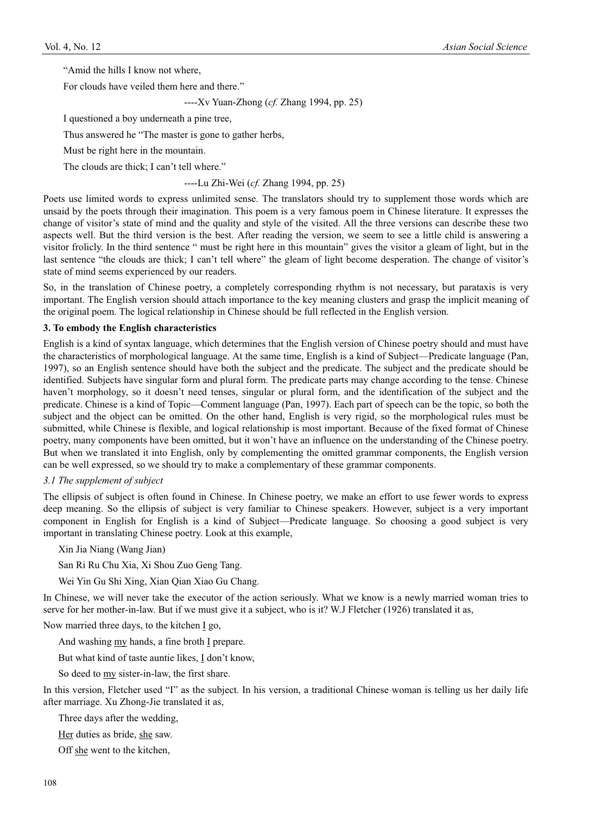"Amid the hills I know not where,

For clouds have veiled them here and there."

----Xv Yuan-Zhong (*cf.* Zhang 1994, pp. 25)

I questioned a boy underneath a pine tree,

Thus answered he "The master is gone to gather herbs,

Must be right here in the mountain.

The clouds are thick; I can't tell where."

----Lu Zhi-Wei (*cf.* Zhang 1994, pp. 25)

Poets use limited words to express unlimited sense. The translators should try to supplement those words which are unsaid by the poets through their imagination. This poem is a very famous poem in Chinese literature. It expresses the change of visitor's state of mind and the quality and style of the visited. All the three versions can describe these two aspects well. But the third version is the best. After reading the version, we seem to see a little child is answering a visitor frolicly. In the third sentence " must be right here in this mountain" gives the visitor a gleam of light, but in the last sentence "the clouds are thick; I can't tell where" the gleam of light become desperation. The change of visitor's state of mind seems experienced by our readers.

So, in the translation of Chinese poetry, a completely corresponding rhythm is not necessary, but parataxis is very important. The English version should attach importance to the key meaning clusters and grasp the implicit meaning of the original poem. The logical relationship in Chinese should be full reflected in the English version.

#### **3. To embody the English characteristics**

English is a kind of syntax language, which determines that the English version of Chinese poetry should and must have the characteristics of morphological language. At the same time, English is a kind of Subject—Predicate language (Pan, 1997), so an English sentence should have both the subject and the predicate. The subject and the predicate should be identified. Subjects have singular form and plural form. The predicate parts may change according to the tense. Chinese haven't morphology, so it doesn't need tenses, singular or plural form, and the identification of the subject and the predicate. Chinese is a kind of Topic—Comment language (Pan, 1997). Each part of speech can be the topic, so both the subject and the object can be omitted. On the other hand, English is very rigid, so the morphological rules must be submitted, while Chinese is flexible, and logical relationship is most important. Because of the fixed format of Chinese poetry, many components have been omitted, but it won't have an influence on the understanding of the Chinese poetry. But when we translated it into English, only by complementing the omitted grammar components, the English version can be well expressed, so we should try to make a complementary of these grammar components.

#### *3.1 The supplement of subject*

The ellipsis of subject is often found in Chinese. In Chinese poetry, we make an effort to use fewer words to express deep meaning. So the ellipsis of subject is very familiar to Chinese speakers. However, subject is a very important component in English for English is a kind of Subject—Predicate language. So choosing a good subject is very important in translating Chinese poetry. Look at this example,

Xin Jia Niang (Wang Jian)

San Ri Ru Chu Xia, Xi Shou Zuo Geng Tang.

Wei Yin Gu Shi Xing, Xian Qian Xiao Gu Chang.

In Chinese, we will never take the executor of the action seriously. What we know is a newly married woman tries to serve for her mother-in-law. But if we must give it a subject, who is it? W.J Fletcher (1926) translated it as,

Now married three days, to the kitchen I go,

And washing my hands, a fine broth I prepare.

But what kind of taste auntie likes, I don't know,

So deed to my sister-in-law, the first share.

In this version, Fletcher used "I" as the subject. In his version, a traditional Chinese woman is telling us her daily life after marriage. Xu Zhong-Jie translated it as,

Three days after the wedding,

Her duties as bride, she saw.

Off she went to the kitchen,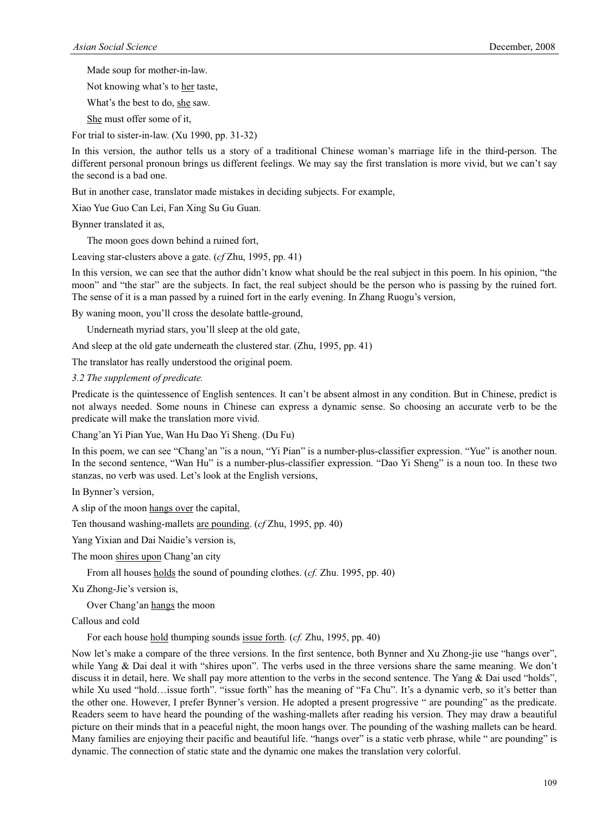Made soup for mother-in-law.

Not knowing what's to her taste,

What's the best to do, she saw.

She must offer some of it,

For trial to sister-in-law. (Xu 1990, pp. 31-32)

In this version, the author tells us a story of a traditional Chinese woman's marriage life in the third-person. The different personal pronoun brings us different feelings. We may say the first translation is more vivid, but we can't say the second is a bad one.

But in another case, translator made mistakes in deciding subjects. For example,

Xiao Yue Guo Can Lei, Fan Xing Su Gu Guan.

Bynner translated it as,

The moon goes down behind a ruined fort,

Leaving star-clusters above a gate. (*cf* Zhu, 1995, pp. 41)

In this version, we can see that the author didn't know what should be the real subject in this poem. In his opinion, "the moon" and "the star" are the subjects. In fact, the real subject should be the person who is passing by the ruined fort. The sense of it is a man passed by a ruined fort in the early evening. In Zhang Ruogu's version,

By waning moon, you'll cross the desolate battle-ground,

Underneath myriad stars, you'll sleep at the old gate,

And sleep at the old gate underneath the clustered star. (Zhu, 1995, pp. 41)

The translator has really understood the original poem.

*3.2 The supplement of predicate.* 

Predicate is the quintessence of English sentences. It can't be absent almost in any condition. But in Chinese, predict is not always needed. Some nouns in Chinese can express a dynamic sense. So choosing an accurate verb to be the predicate will make the translation more vivid.

Chang'an Yi Pian Yue, Wan Hu Dao Yi Sheng. (Du Fu)

In this poem, we can see "Chang'an "is a noun, "Yi Pian" is a number-plus-classifier expression. "Yue" is another noun. In the second sentence, "Wan Hu" is a number-plus-classifier expression. "Dao Yi Sheng" is a noun too. In these two stanzas, no verb was used. Let's look at the English versions,

In Bynner's version,

A slip of the moon hangs over the capital,

Ten thousand washing-mallets are pounding. (*cf* Zhu, 1995, pp. 40)

Yang Yixian and Dai Naidie's version is,

The moon shires upon Chang'an city

From all houses holds the sound of pounding clothes. (*cf.* Zhu. 1995, pp. 40)

Xu Zhong-Jie's version is,

Over Chang'an hangs the moon

Callous and cold

For each house hold thumping sounds issue forth. (*cf.* Zhu, 1995, pp. 40)

Now let's make a compare of the three versions. In the first sentence, both Bynner and Xu Zhong-jie use "hangs over", while Yang & Dai deal it with "shires upon". The verbs used in the three versions share the same meaning. We don't discuss it in detail, here. We shall pay more attention to the verbs in the second sentence. The Yang & Dai used "holds", while Xu used "hold... issue forth". "issue forth" has the meaning of "Fa Chu". It's a dynamic verb, so it's better than the other one. However, I prefer Bynner's version. He adopted a present progressive " are pounding" as the predicate. Readers seem to have heard the pounding of the washing-mallets after reading his version. They may draw a beautiful picture on their minds that in a peaceful night, the moon hangs over. The pounding of the washing mallets can be heard. Many families are enjoying their pacific and beautiful life. "hangs over" is a static verb phrase, while " are pounding" is dynamic. The connection of static state and the dynamic one makes the translation very colorful.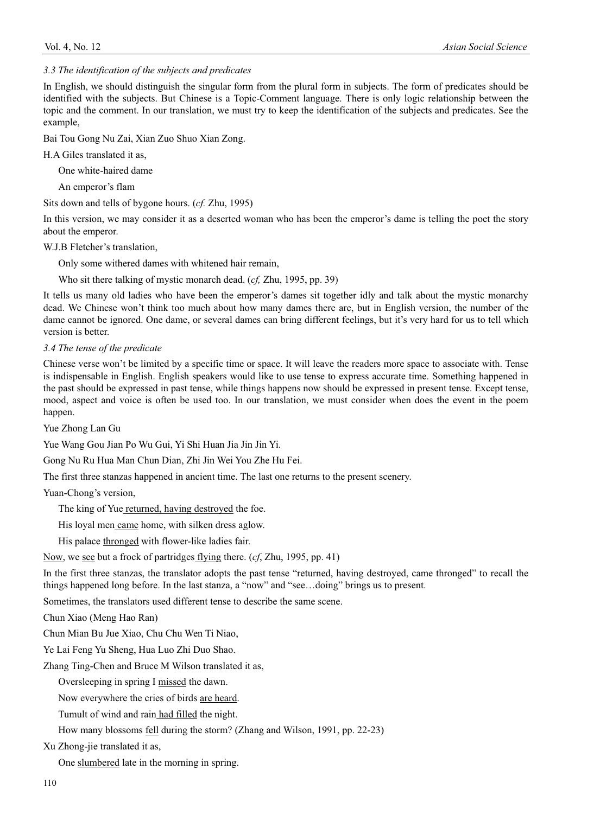## *3.3 The identification of the subjects and predicates*

In English, we should distinguish the singular form from the plural form in subjects. The form of predicates should be identified with the subjects. But Chinese is a Topic-Comment language. There is only logic relationship between the topic and the comment. In our translation, we must try to keep the identification of the subjects and predicates. See the example,

Bai Tou Gong Nu Zai, Xian Zuo Shuo Xian Zong.

H.A Giles translated it as,

One white-haired dame

An emperor's flam

Sits down and tells of bygone hours. (*cf.* Zhu, 1995)

In this version, we may consider it as a deserted woman who has been the emperor's dame is telling the poet the story about the emperor.

W.J.B Fletcher's translation,

Only some withered dames with whitened hair remain,

Who sit there talking of mystic monarch dead. (*cf,* Zhu, 1995, pp. 39)

It tells us many old ladies who have been the emperor's dames sit together idly and talk about the mystic monarchy dead. We Chinese won't think too much about how many dames there are, but in English version, the number of the dame cannot be ignored. One dame, or several dames can bring different feelings, but it's very hard for us to tell which version is better.

#### *3.4 The tense of the predicate*

Chinese verse won't be limited by a specific time or space. It will leave the readers more space to associate with. Tense is indispensable in English. English speakers would like to use tense to express accurate time. Something happened in the past should be expressed in past tense, while things happens now should be expressed in present tense. Except tense, mood, aspect and voice is often be used too. In our translation, we must consider when does the event in the poem happen.

Yue Zhong Lan Gu

Yue Wang Gou Jian Po Wu Gui, Yi Shi Huan Jia Jin Jin Yi.

Gong Nu Ru Hua Man Chun Dian, Zhi Jin Wei You Zhe Hu Fei.

The first three stanzas happened in ancient time. The last one returns to the present scenery.

Yuan-Chong's version,

The king of Yue returned, having destroyed the foe.

His loyal men came home, with silken dress aglow.

His palace thronged with flower-like ladies fair.

Now, we see but a frock of partridges flying there. (*cf*, Zhu, 1995, pp. 41)

In the first three stanzas, the translator adopts the past tense "returned, having destroyed, came thronged" to recall the things happened long before. In the last stanza, a "now" and "see…doing" brings us to present.

Sometimes, the translators used different tense to describe the same scene.

Chun Xiao (Meng Hao Ran)

Chun Mian Bu Jue Xiao, Chu Chu Wen Ti Niao,

Ye Lai Feng Yu Sheng, Hua Luo Zhi Duo Shao.

Zhang Ting-Chen and Bruce M Wilson translated it as,

Oversleeping in spring I missed the dawn.

Now everywhere the cries of birds are heard.

Tumult of wind and rain had filled the night.

How many blossoms fell during the storm? (Zhang and Wilson, 1991, pp. 22-23)

Xu Zhong-jie translated it as,

One slumbered late in the morning in spring.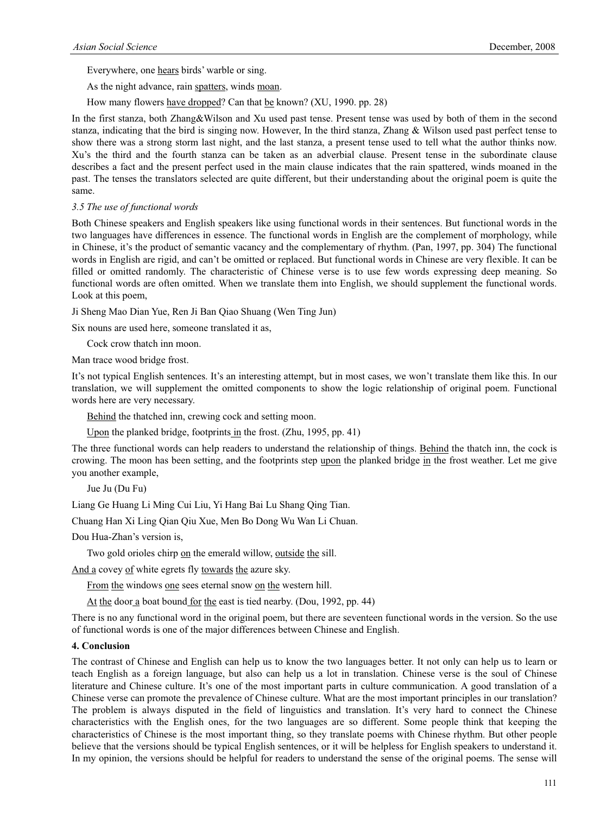Everywhere, one hears birds' warble or sing.

As the night advance, rain spatters, winds moan.

How many flowers have dropped? Can that be known? (XU, 1990. pp. 28)

In the first stanza, both Zhang&Wilson and Xu used past tense. Present tense was used by both of them in the second stanza, indicating that the bird is singing now. However, In the third stanza, Zhang & Wilson used past perfect tense to show there was a strong storm last night, and the last stanza, a present tense used to tell what the author thinks now. Xu's the third and the fourth stanza can be taken as an adverbial clause. Present tense in the subordinate clause describes a fact and the present perfect used in the main clause indicates that the rain spattered, winds moaned in the past. The tenses the translators selected are quite different, but their understanding about the original poem is quite the same.

## *3.5 The use of functional words*

Both Chinese speakers and English speakers like using functional words in their sentences. But functional words in the two languages have differences in essence. The functional words in English are the complement of morphology, while in Chinese, it's the product of semantic vacancy and the complementary of rhythm. (Pan, 1997, pp. 304) The functional words in English are rigid, and can't be omitted or replaced. But functional words in Chinese are very flexible. It can be filled or omitted randomly. The characteristic of Chinese verse is to use few words expressing deep meaning. So functional words are often omitted. When we translate them into English, we should supplement the functional words. Look at this poem,

Ji Sheng Mao Dian Yue, Ren Ji Ban Qiao Shuang (Wen Ting Jun)

Six nouns are used here, someone translated it as,

Cock crow thatch inn moon.

Man trace wood bridge frost.

It's not typical English sentences. It's an interesting attempt, but in most cases, we won't translate them like this. In our translation, we will supplement the omitted components to show the logic relationship of original poem. Functional words here are very necessary.

Behind the thatched inn, crewing cock and setting moon.

Upon the planked bridge, footprints in the frost. (Zhu, 1995, pp. 41)

The three functional words can help readers to understand the relationship of things. Behind the thatch inn, the cock is crowing. The moon has been setting, and the footprints step upon the planked bridge in the frost weather. Let me give you another example,

Jue Ju (Du Fu)

Liang Ge Huang Li Ming Cui Liu, Yi Hang Bai Lu Shang Qing Tian.

Chuang Han Xi Ling Qian Qiu Xue, Men Bo Dong Wu Wan Li Chuan.

Dou Hua-Zhan's version is,

Two gold orioles chirp on the emerald willow, outside the sill.

And a covey of white egrets fly towards the azure sky.

From the windows one sees eternal snow on the western hill.

At the door a boat bound for the east is tied nearby. (Dou, 1992, pp. 44)

There is no any functional word in the original poem, but there are seventeen functional words in the version. So the use of functional words is one of the major differences between Chinese and English.

## **4. Conclusion**

The contrast of Chinese and English can help us to know the two languages better. It not only can help us to learn or teach English as a foreign language, but also can help us a lot in translation. Chinese verse is the soul of Chinese literature and Chinese culture. It's one of the most important parts in culture communication. A good translation of a Chinese verse can promote the prevalence of Chinese culture. What are the most important principles in our translation? The problem is always disputed in the field of linguistics and translation. It's very hard to connect the Chinese characteristics with the English ones, for the two languages are so different. Some people think that keeping the characteristics of Chinese is the most important thing, so they translate poems with Chinese rhythm. But other people believe that the versions should be typical English sentences, or it will be helpless for English speakers to understand it. In my opinion, the versions should be helpful for readers to understand the sense of the original poems. The sense will